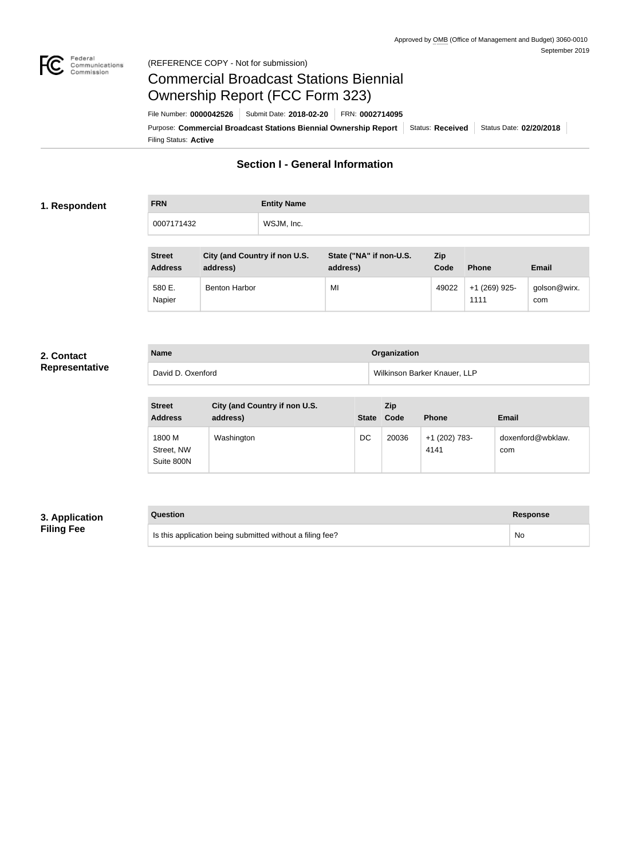

#### Federal<br>Communications<br>Commission (REFERENCE COPY - Not for submission)

# Commercial Broadcast Stations Biennial Ownership Report (FCC Form 323)

Filing Status: **Active** Purpose: Commercial Broadcast Stations Biennial Ownership Report Status: Received Status Date: 02/20/2018 File Number: **0000042526** Submit Date: **2018-02-20** FRN: **0002714095**

# **Section I - General Information**

#### **1. Respondent**

**FRN Entity Name** 0007171432 WSJM, Inc.

| <b>Street</b><br><b>Address</b> | City (and Country if non U.S.<br>address) | State ("NA" if non-U.S.<br>address) | <b>Zip</b><br>Code | <b>Phone</b>          | Email               |
|---------------------------------|-------------------------------------------|-------------------------------------|--------------------|-----------------------|---------------------|
| 580 E.<br>Napier                | <b>Benton Harbor</b>                      | MI                                  | 49022              | +1 (269) 925-<br>1111 | golson@wirx.<br>com |

#### **2. Contact Representative**

| <b>Name</b>       | Organization                 |
|-------------------|------------------------------|
| David D. Oxenford | Wilkinson Barker Knauer, LLP |

| <b>Street</b><br><b>Address</b>    | City (and Country if non U.S.<br>address) | <b>State</b> | Zip<br>Code | <b>Phone</b>          | <b>Email</b>             |
|------------------------------------|-------------------------------------------|--------------|-------------|-----------------------|--------------------------|
| 1800 M<br>Street, NW<br>Suite 800N | Washington                                | DC           | 20036       | +1 (202) 783-<br>4141 | doxenford@wbklaw.<br>com |

## **3. Application Filing Fee**

# **Question Response**

Is this application being submitted without a filing fee? No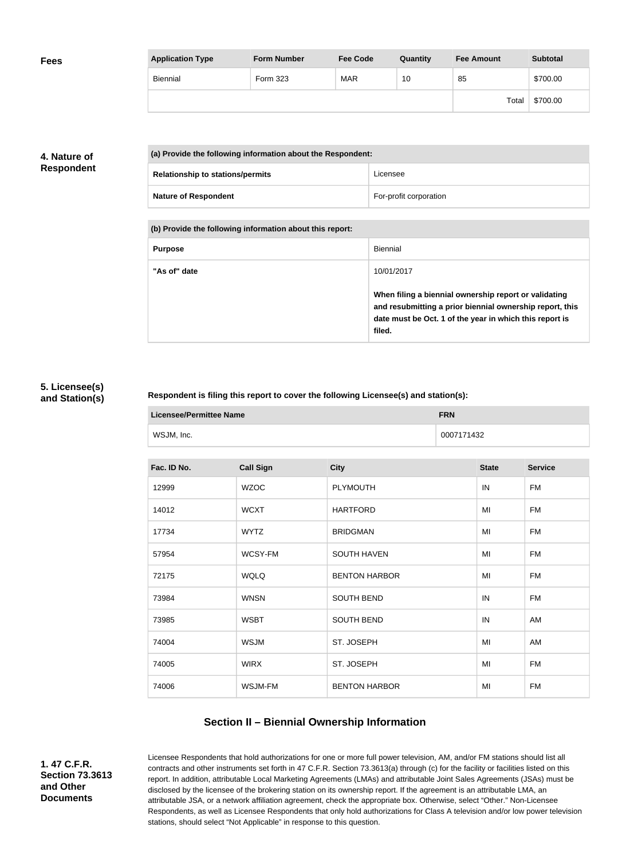| <b>Fees</b> | <b>Application Type</b> | <b>Form Number</b> | <b>Fee Code</b> | Quantity | <b>Fee Amount</b> | <b>Subtotal</b> |
|-------------|-------------------------|--------------------|-----------------|----------|-------------------|-----------------|
|             | Biennial                | Form 323           | <b>MAR</b>      | 10       | 85                | \$700.00        |
|             |                         |                    |                 |          | Total             | \$700.00        |

# **4. Nature of Respondent**

| (a) Provide the following information about the Respondent: |                        |  |
|-------------------------------------------------------------|------------------------|--|
| <b>Relationship to stations/permits</b>                     | Licensee               |  |
| <b>Nature of Respondent</b>                                 | For-profit corporation |  |

**(b) Provide the following information about this report:**

| <b>Purpose</b> | Biennial                                                                                                                                                                               |
|----------------|----------------------------------------------------------------------------------------------------------------------------------------------------------------------------------------|
| "As of" date   | 10/01/2017                                                                                                                                                                             |
|                | When filing a biennial ownership report or validating<br>and resubmitting a prior biennial ownership report, this<br>date must be Oct. 1 of the year in which this report is<br>filed. |

### **5. Licensee(s) and Station(s)**

#### **Respondent is filing this report to cover the following Licensee(s) and station(s):**

| Licensee/Permittee Name | <b>FRN</b> |  |
|-------------------------|------------|--|
| WSJM, Inc.              | 0007171432 |  |

| Fac. ID No. | <b>Call Sign</b> | <b>City</b>          | <b>State</b> | <b>Service</b> |
|-------------|------------------|----------------------|--------------|----------------|
| 12999       | <b>WZOC</b>      | <b>PLYMOUTH</b>      | IN           | <b>FM</b>      |
| 14012       | <b>WCXT</b>      | <b>HARTFORD</b>      | MI           | <b>FM</b>      |
| 17734       | <b>WYTZ</b>      | <b>BRIDGMAN</b>      | MI           | <b>FM</b>      |
| 57954       | WCSY-FM          | <b>SOUTH HAVEN</b>   | MI           | <b>FM</b>      |
| 72175       | <b>WQLQ</b>      | <b>BENTON HARBOR</b> | MI           | <b>FM</b>      |
| 73984       | <b>WNSN</b>      | <b>SOUTH BEND</b>    | IN           | <b>FM</b>      |
| 73985       | <b>WSBT</b>      | <b>SOUTH BEND</b>    | IN           | AM             |
| 74004       | <b>WSJM</b>      | ST. JOSEPH           | MI           | AM             |
| 74005       | <b>WIRX</b>      | ST. JOSEPH           | MI           | <b>FM</b>      |
| 74006       | WSJM-FM          | <b>BENTON HARBOR</b> | MI           | <b>FM</b>      |
|             |                  |                      |              |                |

# **Section II – Biennial Ownership Information**

**1. 47 C.F.R. Section 73.3613 and Other Documents**

Licensee Respondents that hold authorizations for one or more full power television, AM, and/or FM stations should list all contracts and other instruments set forth in 47 C.F.R. Section 73.3613(a) through (c) for the facility or facilities listed on this report. In addition, attributable Local Marketing Agreements (LMAs) and attributable Joint Sales Agreements (JSAs) must be disclosed by the licensee of the brokering station on its ownership report. If the agreement is an attributable LMA, an attributable JSA, or a network affiliation agreement, check the appropriate box. Otherwise, select "Other." Non-Licensee Respondents, as well as Licensee Respondents that only hold authorizations for Class A television and/or low power television stations, should select "Not Applicable" in response to this question.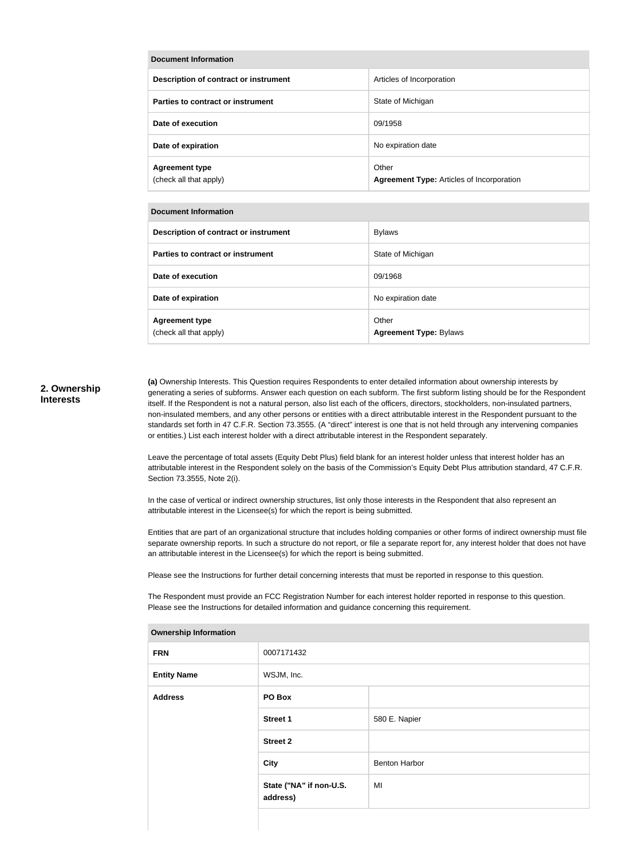| Document Information                            |                                                           |  |  |
|-------------------------------------------------|-----------------------------------------------------------|--|--|
| Description of contract or instrument           | Articles of Incorporation                                 |  |  |
| Parties to contract or instrument               | State of Michigan                                         |  |  |
| Date of execution                               | 09/1958                                                   |  |  |
| Date of expiration                              | No expiration date                                        |  |  |
| <b>Agreement type</b><br>(check all that apply) | Other<br><b>Agreement Type: Articles of Incorporation</b> |  |  |

#### **Document Information**

| Description of contract or instrument           | <b>Bylaws</b>                          |
|-------------------------------------------------|----------------------------------------|
| Parties to contract or instrument               | State of Michigan                      |
| Date of execution                               | 09/1968                                |
| Date of expiration                              | No expiration date                     |
| <b>Agreement type</b><br>(check all that apply) | Other<br><b>Agreement Type: Bylaws</b> |

#### **2. Ownership Interests**

**(a)** Ownership Interests. This Question requires Respondents to enter detailed information about ownership interests by generating a series of subforms. Answer each question on each subform. The first subform listing should be for the Respondent itself. If the Respondent is not a natural person, also list each of the officers, directors, stockholders, non-insulated partners, non-insulated members, and any other persons or entities with a direct attributable interest in the Respondent pursuant to the standards set forth in 47 C.F.R. Section 73.3555. (A "direct" interest is one that is not held through any intervening companies or entities.) List each interest holder with a direct attributable interest in the Respondent separately.

Leave the percentage of total assets (Equity Debt Plus) field blank for an interest holder unless that interest holder has an attributable interest in the Respondent solely on the basis of the Commission's Equity Debt Plus attribution standard, 47 C.F.R. Section 73.3555, Note 2(i).

In the case of vertical or indirect ownership structures, list only those interests in the Respondent that also represent an attributable interest in the Licensee(s) for which the report is being submitted.

Entities that are part of an organizational structure that includes holding companies or other forms of indirect ownership must file separate ownership reports. In such a structure do not report, or file a separate report for, any interest holder that does not have an attributable interest in the Licensee(s) for which the report is being submitted.

Please see the Instructions for further detail concerning interests that must be reported in response to this question.

The Respondent must provide an FCC Registration Number for each interest holder reported in response to this question. Please see the Instructions for detailed information and guidance concerning this requirement.

| ווטווופוסווון שוופוסוווער |                                     |               |  |
|---------------------------|-------------------------------------|---------------|--|
| <b>FRN</b>                | 0007171432                          |               |  |
| <b>Entity Name</b>        | WSJM, Inc.                          |               |  |
| <b>Address</b>            | PO Box                              |               |  |
|                           | <b>Street 1</b>                     | 580 E. Napier |  |
|                           | <b>Street 2</b>                     |               |  |
|                           | <b>City</b>                         | Benton Harbor |  |
|                           | State ("NA" if non-U.S.<br>address) | MI            |  |
|                           |                                     |               |  |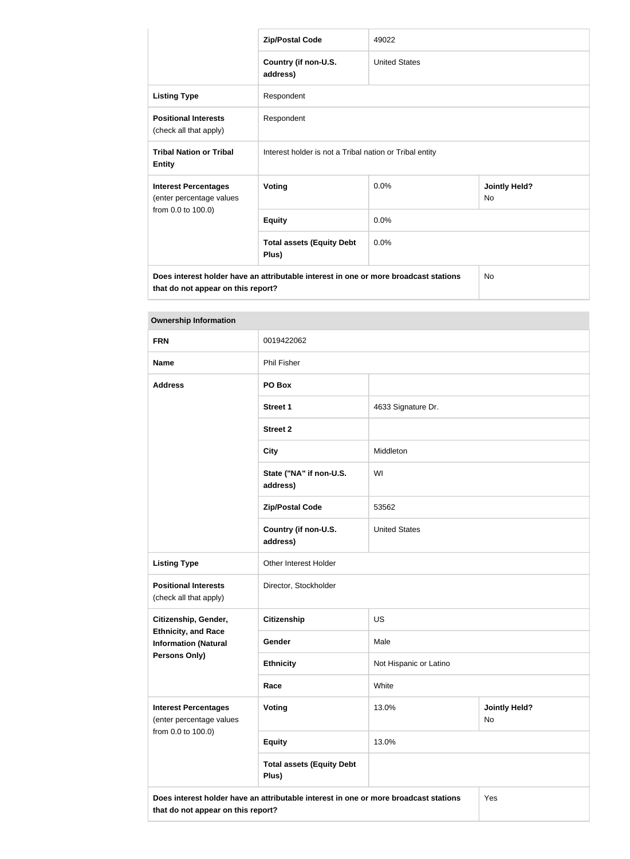|                                                                                                                            | <b>Zip/Postal Code</b>                                  | 49022                |                                   |  |
|----------------------------------------------------------------------------------------------------------------------------|---------------------------------------------------------|----------------------|-----------------------------------|--|
|                                                                                                                            | Country (if non-U.S.<br>address)                        | <b>United States</b> |                                   |  |
| <b>Listing Type</b>                                                                                                        | Respondent                                              |                      |                                   |  |
| <b>Positional Interests</b><br>(check all that apply)                                                                      | Respondent                                              |                      |                                   |  |
| <b>Tribal Nation or Tribal</b><br><b>Entity</b>                                                                            | Interest holder is not a Tribal nation or Tribal entity |                      |                                   |  |
| <b>Interest Percentages</b><br>(enter percentage values                                                                    | <b>Voting</b>                                           | 0.0%                 | <b>Jointly Held?</b><br><b>No</b> |  |
| from 0.0 to 100.0)                                                                                                         | <b>Equity</b>                                           | 0.0%                 |                                   |  |
|                                                                                                                            | <b>Total assets (Equity Debt</b><br>Plus)               | 0.0%                 |                                   |  |
| Does interest holder have an attributable interest in one or more broadcast stations<br>that do not appear on this report? |                                                         |                      | <b>No</b>                         |  |

| <b>Ownership Information</b>                                                  |                                                                                      |                        |                            |
|-------------------------------------------------------------------------------|--------------------------------------------------------------------------------------|------------------------|----------------------------|
| <b>FRN</b>                                                                    | 0019422062                                                                           |                        |                            |
| <b>Name</b>                                                                   | <b>Phil Fisher</b>                                                                   |                        |                            |
| <b>Address</b>                                                                | PO Box                                                                               |                        |                            |
|                                                                               | <b>Street 1</b>                                                                      | 4633 Signature Dr.     |                            |
|                                                                               | <b>Street 2</b>                                                                      |                        |                            |
|                                                                               | <b>City</b>                                                                          | Middleton              |                            |
|                                                                               | State ("NA" if non-U.S.<br>address)                                                  | WI                     |                            |
|                                                                               | <b>Zip/Postal Code</b>                                                               | 53562                  |                            |
|                                                                               | Country (if non-U.S.<br>address)                                                     | <b>United States</b>   |                            |
| <b>Listing Type</b>                                                           | Other Interest Holder                                                                |                        |                            |
| <b>Positional Interests</b><br>(check all that apply)                         | Director, Stockholder                                                                |                        |                            |
| Citizenship, Gender,                                                          | <b>Citizenship</b>                                                                   | <b>US</b>              |                            |
| <b>Ethnicity, and Race</b><br><b>Information (Natural</b>                     | Gender                                                                               | Male                   |                            |
| <b>Persons Only)</b>                                                          | <b>Ethnicity</b>                                                                     | Not Hispanic or Latino |                            |
|                                                                               | Race                                                                                 | White                  |                            |
| <b>Interest Percentages</b><br>(enter percentage values<br>from 0.0 to 100.0) | <b>Voting</b>                                                                        | 13.0%                  | <b>Jointly Held?</b><br>No |
|                                                                               | <b>Equity</b>                                                                        | 13.0%                  |                            |
|                                                                               | <b>Total assets (Equity Debt</b><br>Plus)                                            |                        |                            |
| that do not appear on this report?                                            | Does interest holder have an attributable interest in one or more broadcast stations |                        | Yes                        |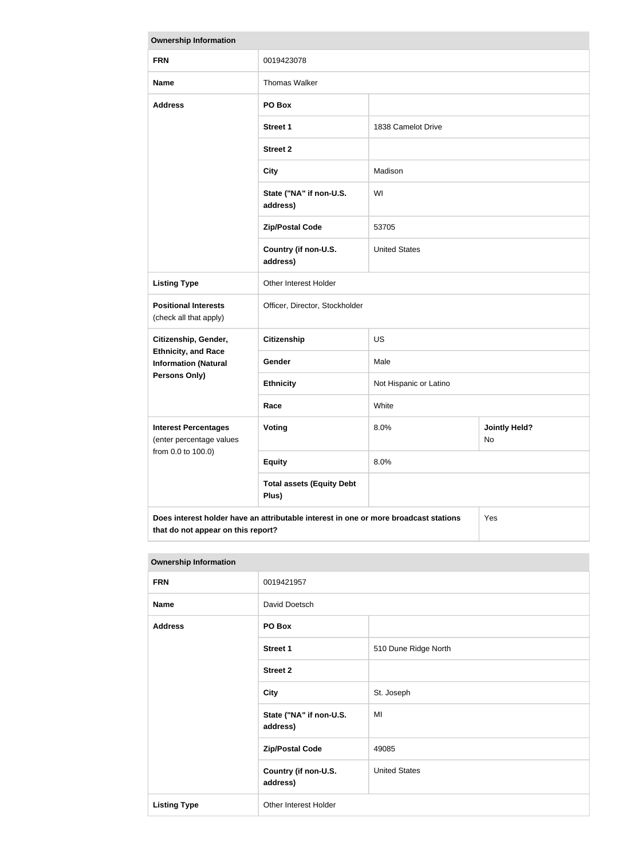| <b>Ownership Information</b>                                                                                                      |                                           |                        |                            |
|-----------------------------------------------------------------------------------------------------------------------------------|-------------------------------------------|------------------------|----------------------------|
| <b>FRN</b>                                                                                                                        | 0019423078                                |                        |                            |
| <b>Name</b>                                                                                                                       | Thomas Walker                             |                        |                            |
| <b>Address</b>                                                                                                                    | PO Box                                    |                        |                            |
|                                                                                                                                   | <b>Street 1</b>                           | 1838 Camelot Drive     |                            |
|                                                                                                                                   | <b>Street 2</b>                           |                        |                            |
|                                                                                                                                   | <b>City</b>                               | Madison                |                            |
|                                                                                                                                   | State ("NA" if non-U.S.<br>address)       | WI                     |                            |
|                                                                                                                                   | <b>Zip/Postal Code</b>                    | 53705                  |                            |
|                                                                                                                                   | Country (if non-U.S.<br>address)          | <b>United States</b>   |                            |
| <b>Listing Type</b>                                                                                                               | Other Interest Holder                     |                        |                            |
| <b>Positional Interests</b><br>(check all that apply)                                                                             | Officer, Director, Stockholder            |                        |                            |
| Citizenship, Gender,                                                                                                              | <b>Citizenship</b>                        | <b>US</b>              |                            |
| <b>Ethnicity, and Race</b><br><b>Information (Natural</b>                                                                         | Gender                                    | Male                   |                            |
| Persons Only)                                                                                                                     | <b>Ethnicity</b>                          | Not Hispanic or Latino |                            |
|                                                                                                                                   | Race                                      | White                  |                            |
| <b>Interest Percentages</b><br>(enter percentage values<br>from 0.0 to 100.0)                                                     | Voting                                    | 8.0%                   | <b>Jointly Held?</b><br>No |
|                                                                                                                                   | <b>Equity</b>                             | 8.0%                   |                            |
|                                                                                                                                   | <b>Total assets (Equity Debt</b><br>Plus) |                        |                            |
| Does interest holder have an attributable interest in one or more broadcast stations<br>Yes<br>that do not appear on this report? |                                           |                        |                            |

| <b>Ownership Information</b> |                                     |                      |
|------------------------------|-------------------------------------|----------------------|
| <b>FRN</b>                   | 0019421957                          |                      |
| <b>Name</b>                  | David Doetsch                       |                      |
| <b>Address</b>               | PO Box                              |                      |
|                              | <b>Street 1</b>                     | 510 Dune Ridge North |
|                              | <b>Street 2</b>                     |                      |
|                              | <b>City</b>                         | St. Joseph           |
|                              | State ("NA" if non-U.S.<br>address) | MI                   |
|                              | <b>Zip/Postal Code</b>              | 49085                |
|                              | Country (if non-U.S.<br>address)    | <b>United States</b> |
| <b>Listing Type</b>          | Other Interest Holder               |                      |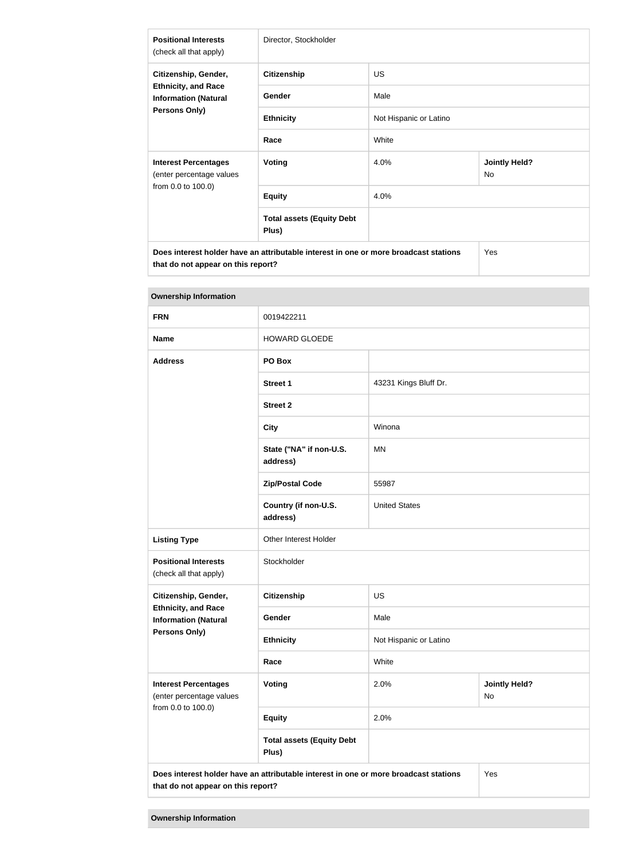| <b>Positional Interests</b><br>(check all that apply)                                                     | Director, Stockholder                                                                |                        |                            |
|-----------------------------------------------------------------------------------------------------------|--------------------------------------------------------------------------------------|------------------------|----------------------------|
| Citizenship, Gender,<br><b>Ethnicity, and Race</b><br><b>Information (Natural</b><br><b>Persons Only)</b> | <b>Citizenship</b>                                                                   | US.                    |                            |
|                                                                                                           | Gender                                                                               | Male                   |                            |
|                                                                                                           | <b>Ethnicity</b>                                                                     | Not Hispanic or Latino |                            |
|                                                                                                           | Race                                                                                 | White                  |                            |
| <b>Interest Percentages</b><br>(enter percentage values                                                   | <b>Voting</b>                                                                        | 4.0%                   | <b>Jointly Held?</b><br>No |
| from 0.0 to 100.0)                                                                                        | <b>Equity</b>                                                                        | 4.0%                   |                            |
|                                                                                                           | <b>Total assets (Equity Debt</b><br>Plus)                                            |                        |                            |
| that do not appear on this report?                                                                        | Does interest holder have an attributable interest in one or more broadcast stations |                        | Yes                        |

| <b>Ownership Information</b>                                                  |                                                                                      |                        |                            |
|-------------------------------------------------------------------------------|--------------------------------------------------------------------------------------|------------------------|----------------------------|
| <b>FRN</b>                                                                    | 0019422211                                                                           |                        |                            |
| <b>Name</b>                                                                   | <b>HOWARD GLOEDE</b>                                                                 |                        |                            |
| <b>Address</b>                                                                | PO Box                                                                               |                        |                            |
|                                                                               | <b>Street 1</b>                                                                      | 43231 Kings Bluff Dr.  |                            |
|                                                                               | <b>Street 2</b>                                                                      |                        |                            |
|                                                                               | <b>City</b>                                                                          | Winona                 |                            |
|                                                                               | State ("NA" if non-U.S.<br>address)                                                  | <b>MN</b>              |                            |
|                                                                               | <b>Zip/Postal Code</b>                                                               | 55987                  |                            |
|                                                                               | Country (if non-U.S.<br>address)                                                     | <b>United States</b>   |                            |
| <b>Listing Type</b>                                                           | Other Interest Holder                                                                |                        |                            |
| <b>Positional Interests</b><br>(check all that apply)                         | Stockholder                                                                          |                        |                            |
| Citizenship, Gender,                                                          | <b>Citizenship</b>                                                                   | <b>US</b>              |                            |
| <b>Ethnicity, and Race</b><br><b>Information (Natural</b>                     | Gender                                                                               | Male                   |                            |
| Persons Only)                                                                 | <b>Ethnicity</b>                                                                     | Not Hispanic or Latino |                            |
|                                                                               | Race                                                                                 | White                  |                            |
| <b>Interest Percentages</b><br>(enter percentage values<br>from 0.0 to 100.0) | Voting                                                                               | 2.0%                   | <b>Jointly Held?</b><br>No |
|                                                                               | <b>Equity</b>                                                                        | 2.0%                   |                            |
|                                                                               | <b>Total assets (Equity Debt</b><br>Plus)                                            |                        |                            |
|                                                                               | Does interest holder have an attributable interest in one or more broadcast stations |                        | Yes                        |

**that do not appear on this report?**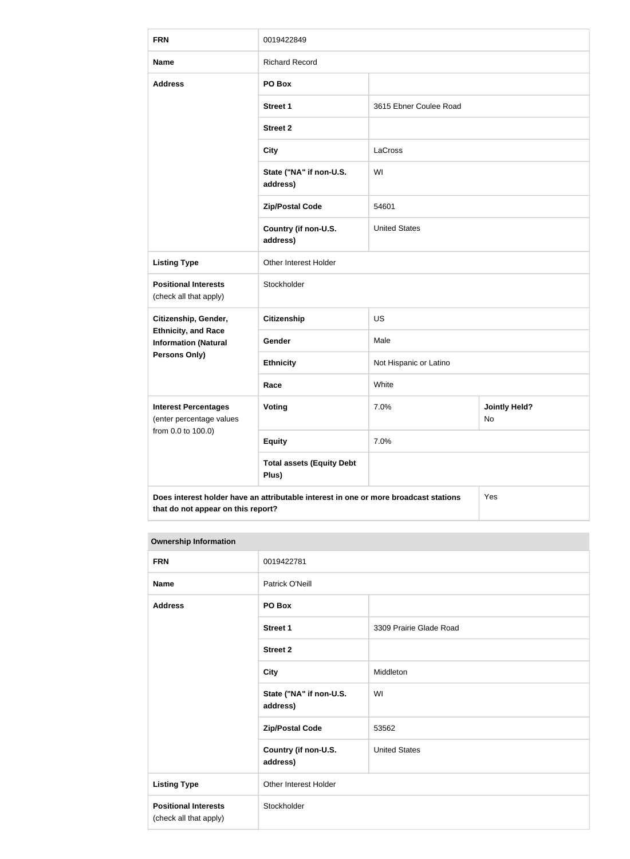| <b>FRN</b>                                                | 0019422849                                                                           |                        |                            |
|-----------------------------------------------------------|--------------------------------------------------------------------------------------|------------------------|----------------------------|
| <b>Name</b>                                               | <b>Richard Record</b>                                                                |                        |                            |
| <b>Address</b>                                            | PO Box                                                                               |                        |                            |
|                                                           | <b>Street 1</b>                                                                      | 3615 Ebner Coulee Road |                            |
|                                                           | <b>Street 2</b>                                                                      |                        |                            |
|                                                           | <b>City</b>                                                                          | LaCross                |                            |
|                                                           | State ("NA" if non-U.S.<br>address)                                                  | WI                     |                            |
|                                                           | <b>Zip/Postal Code</b>                                                               | 54601                  |                            |
|                                                           | Country (if non-U.S.<br>address)                                                     | <b>United States</b>   |                            |
| <b>Listing Type</b>                                       | Other Interest Holder                                                                |                        |                            |
| <b>Positional Interests</b><br>(check all that apply)     | Stockholder                                                                          |                        |                            |
| Citizenship, Gender,                                      | <b>Citizenship</b>                                                                   | <b>US</b>              |                            |
| <b>Ethnicity, and Race</b><br><b>Information (Natural</b> | Gender                                                                               | Male                   |                            |
| <b>Persons Only)</b>                                      | <b>Ethnicity</b>                                                                     | Not Hispanic or Latino |                            |
|                                                           | Race                                                                                 | White                  |                            |
| <b>Interest Percentages</b><br>(enter percentage values   | Voting                                                                               | 7.0%                   | <b>Jointly Held?</b><br>No |
| from 0.0 to 100.0)                                        | <b>Equity</b>                                                                        | 7.0%                   |                            |
|                                                           | <b>Total assets (Equity Debt</b><br>Plus)                                            |                        |                            |
| that do not appear on this report?                        | Does interest holder have an attributable interest in one or more broadcast stations |                        | Yes                        |

| <b>FRN</b>                                            | 0019422781                          |                         |
|-------------------------------------------------------|-------------------------------------|-------------------------|
| <b>Name</b>                                           | Patrick O'Neill                     |                         |
| <b>Address</b>                                        | PO Box                              |                         |
|                                                       | <b>Street 1</b>                     | 3309 Prairie Glade Road |
|                                                       | <b>Street 2</b>                     |                         |
|                                                       | <b>City</b>                         | Middleton               |
|                                                       | State ("NA" if non-U.S.<br>address) | WI                      |
|                                                       | <b>Zip/Postal Code</b>              | 53562                   |
|                                                       | Country (if non-U.S.<br>address)    | <b>United States</b>    |
| <b>Listing Type</b>                                   | Other Interest Holder               |                         |
| <b>Positional Interests</b><br>(check all that apply) | Stockholder                         |                         |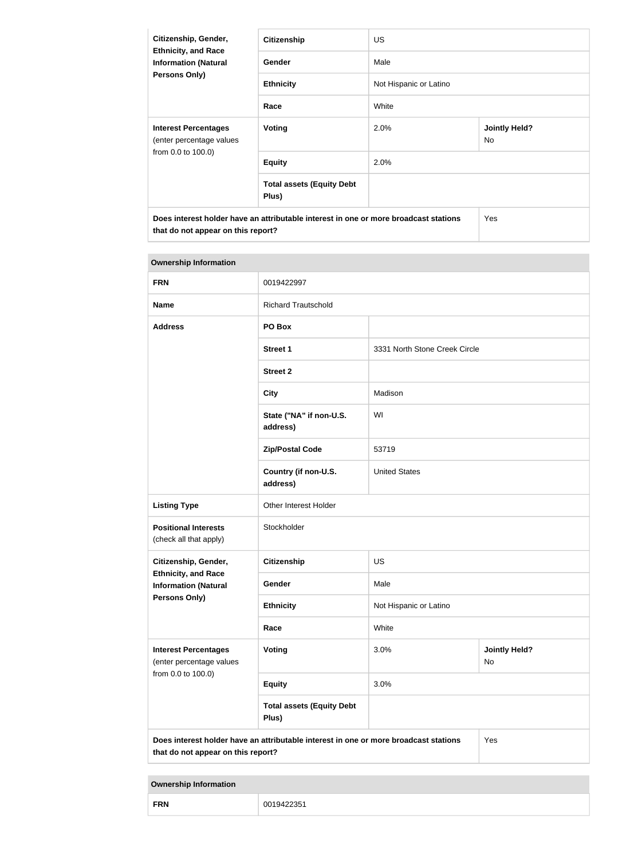| Citizenship, Gender,<br><b>Ethnicity, and Race</b><br><b>Information (Natural</b><br><b>Persons Only)</b>                  | <b>Citizenship</b>                        | <b>US</b>              |                                   |
|----------------------------------------------------------------------------------------------------------------------------|-------------------------------------------|------------------------|-----------------------------------|
|                                                                                                                            | Gender                                    | Male                   |                                   |
|                                                                                                                            | <b>Ethnicity</b>                          | Not Hispanic or Latino |                                   |
|                                                                                                                            | Race                                      | White                  |                                   |
| <b>Interest Percentages</b><br>(enter percentage values                                                                    | Voting                                    | 2.0%                   | <b>Jointly Held?</b><br><b>No</b> |
| from 0.0 to 100.0)                                                                                                         | <b>Equity</b>                             | 2.0%                   |                                   |
|                                                                                                                            | <b>Total assets (Equity Debt</b><br>Plus) |                        |                                   |
| Does interest holder have an attributable interest in one or more broadcast stations<br>that do not appear on this report? |                                           |                        | <b>Yes</b>                        |

| <b>Ownership Information</b>                              |                                                                                      |                               |                                   |
|-----------------------------------------------------------|--------------------------------------------------------------------------------------|-------------------------------|-----------------------------------|
| <b>FRN</b>                                                | 0019422997                                                                           |                               |                                   |
| <b>Name</b>                                               | <b>Richard Trautschold</b>                                                           |                               |                                   |
| <b>Address</b>                                            | PO Box                                                                               |                               |                                   |
|                                                           | <b>Street 1</b>                                                                      | 3331 North Stone Creek Circle |                                   |
|                                                           | <b>Street 2</b>                                                                      |                               |                                   |
|                                                           | <b>City</b>                                                                          | Madison                       |                                   |
|                                                           | State ("NA" if non-U.S.<br>address)                                                  | WI                            |                                   |
|                                                           | <b>Zip/Postal Code</b>                                                               | 53719                         |                                   |
|                                                           | Country (if non-U.S.<br>address)                                                     | <b>United States</b>          |                                   |
| <b>Listing Type</b>                                       | Other Interest Holder                                                                |                               |                                   |
| <b>Positional Interests</b><br>(check all that apply)     | Stockholder                                                                          |                               |                                   |
| Citizenship, Gender,                                      | <b>Citizenship</b>                                                                   | <b>US</b>                     |                                   |
| <b>Ethnicity, and Race</b><br><b>Information (Natural</b> | Gender                                                                               | Male                          |                                   |
| Persons Only)                                             | <b>Ethnicity</b>                                                                     | Not Hispanic or Latino        |                                   |
|                                                           | Race                                                                                 | White                         |                                   |
| <b>Interest Percentages</b><br>(enter percentage values   | Voting                                                                               | 3.0%                          | <b>Jointly Held?</b><br><b>No</b> |
| from 0.0 to 100.0)                                        | <b>Equity</b>                                                                        | 3.0%                          |                                   |
|                                                           | <b>Total assets (Equity Debt</b><br>Plus)                                            |                               |                                   |
| that do not appear on this report?                        | Does interest holder have an attributable interest in one or more broadcast stations |                               | Yes                               |

| ED'<br>ററ<br>uд<br><b>FNI</b> |  |
|-------------------------------|--|
|-------------------------------|--|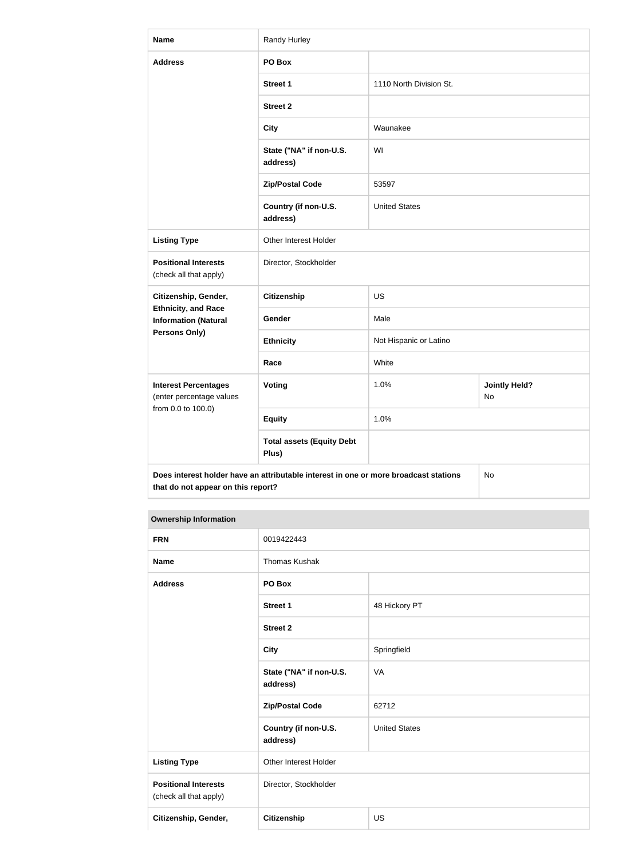| <b>Name</b>                                               | Randy Hurley                                                                         |                         |                            |
|-----------------------------------------------------------|--------------------------------------------------------------------------------------|-------------------------|----------------------------|
| <b>Address</b>                                            | PO Box                                                                               |                         |                            |
|                                                           | <b>Street 1</b>                                                                      | 1110 North Division St. |                            |
|                                                           | <b>Street 2</b>                                                                      |                         |                            |
|                                                           | <b>City</b>                                                                          | Waunakee                |                            |
|                                                           | State ("NA" if non-U.S.<br>address)                                                  | WI                      |                            |
|                                                           | <b>Zip/Postal Code</b>                                                               | 53597                   |                            |
|                                                           | Country (if non-U.S.<br>address)                                                     | <b>United States</b>    |                            |
| <b>Listing Type</b>                                       | Other Interest Holder                                                                |                         |                            |
| <b>Positional Interests</b><br>(check all that apply)     | Director, Stockholder                                                                |                         |                            |
| Citizenship, Gender,                                      | <b>Citizenship</b>                                                                   | <b>US</b>               |                            |
| <b>Ethnicity, and Race</b><br><b>Information (Natural</b> | Gender                                                                               | Male                    |                            |
| <b>Persons Only)</b>                                      | <b>Ethnicity</b>                                                                     | Not Hispanic or Latino  |                            |
|                                                           | Race                                                                                 | White                   |                            |
| <b>Interest Percentages</b><br>(enter percentage values   | <b>Voting</b>                                                                        | 1.0%                    | <b>Jointly Held?</b><br>No |
| from 0.0 to 100.0)                                        | <b>Equity</b>                                                                        | 1.0%                    |                            |
|                                                           | <b>Total assets (Equity Debt</b><br>Plus)                                            |                         |                            |
| that do not appear on this report?                        | Does interest holder have an attributable interest in one or more broadcast stations |                         | No                         |

| <b>FRN</b>                                            | 0019422443                          |                      |
|-------------------------------------------------------|-------------------------------------|----------------------|
| <b>Name</b>                                           | <b>Thomas Kushak</b>                |                      |
| <b>Address</b>                                        | PO Box                              |                      |
|                                                       | <b>Street 1</b>                     | 48 Hickory PT        |
|                                                       | <b>Street 2</b>                     |                      |
|                                                       | <b>City</b>                         | Springfield          |
|                                                       | State ("NA" if non-U.S.<br>address) | VA                   |
|                                                       | <b>Zip/Postal Code</b>              | 62712                |
|                                                       | Country (if non-U.S.<br>address)    | <b>United States</b> |
| <b>Listing Type</b>                                   | Other Interest Holder               |                      |
| <b>Positional Interests</b><br>(check all that apply) | Director, Stockholder               |                      |
| Citizenship, Gender,                                  | Citizenship                         | <b>US</b>            |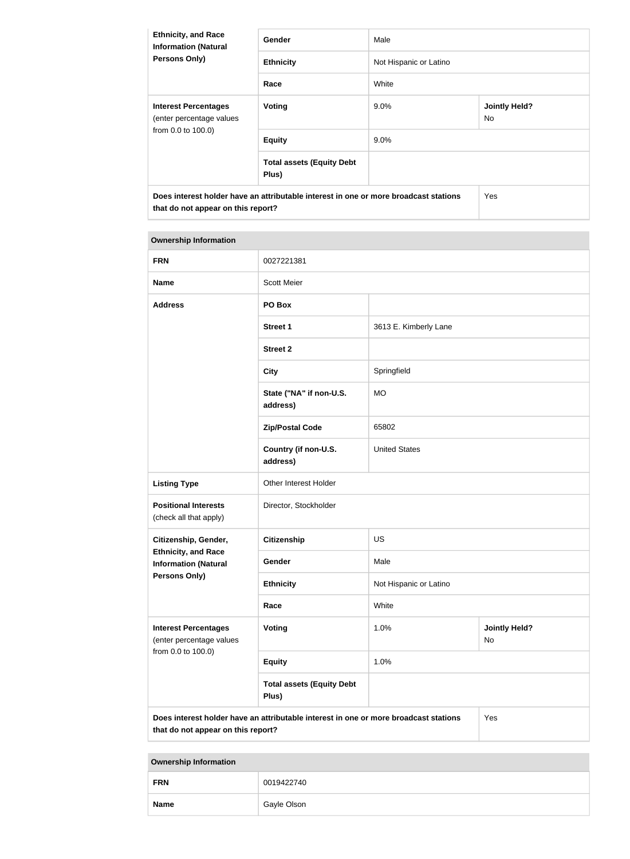| <b>Ethnicity, and Race</b><br><b>Information (Natural</b><br><b>Persons Only)</b>                                          | Gender                                    | Male                   |                             |
|----------------------------------------------------------------------------------------------------------------------------|-------------------------------------------|------------------------|-----------------------------|
|                                                                                                                            | <b>Ethnicity</b>                          | Not Hispanic or Latino |                             |
|                                                                                                                            | Race                                      | White                  |                             |
| <b>Interest Percentages</b><br>(enter percentage values<br>from 0.0 to 100.0)                                              | <b>Voting</b>                             | $9.0\%$                | <b>Jointly Held?</b><br>No. |
|                                                                                                                            | <b>Equity</b>                             | $9.0\%$                |                             |
|                                                                                                                            | <b>Total assets (Equity Debt</b><br>Plus) |                        |                             |
| Does interest holder have an attributable interest in one or more broadcast stations<br>that do not appear on this report? |                                           |                        | <b>Yes</b>                  |

| <b>Ownership Information</b>                              |                                                                                      |                        |                            |  |
|-----------------------------------------------------------|--------------------------------------------------------------------------------------|------------------------|----------------------------|--|
| <b>FRN</b>                                                | 0027221381                                                                           |                        |                            |  |
| <b>Name</b>                                               | <b>Scott Meier</b>                                                                   |                        |                            |  |
| <b>Address</b>                                            | PO Box                                                                               |                        |                            |  |
|                                                           | <b>Street 1</b>                                                                      | 3613 E. Kimberly Lane  |                            |  |
|                                                           | <b>Street 2</b>                                                                      |                        |                            |  |
|                                                           | <b>City</b>                                                                          | Springfield            |                            |  |
|                                                           | State ("NA" if non-U.S.<br>address)                                                  | <b>MO</b>              |                            |  |
|                                                           | <b>Zip/Postal Code</b>                                                               | 65802                  |                            |  |
|                                                           | Country (if non-U.S.<br>address)                                                     | <b>United States</b>   |                            |  |
| <b>Listing Type</b>                                       | Other Interest Holder                                                                |                        |                            |  |
| <b>Positional Interests</b><br>(check all that apply)     | Director, Stockholder                                                                |                        |                            |  |
| Citizenship, Gender,                                      | <b>Citizenship</b>                                                                   | <b>US</b>              |                            |  |
| <b>Ethnicity, and Race</b><br><b>Information (Natural</b> | Gender                                                                               | Male                   |                            |  |
| Persons Only)                                             | <b>Ethnicity</b>                                                                     | Not Hispanic or Latino |                            |  |
|                                                           | Race                                                                                 | White                  |                            |  |
| <b>Interest Percentages</b><br>(enter percentage values   | Voting                                                                               | 1.0%                   | <b>Jointly Held?</b><br>No |  |
| from 0.0 to 100.0)                                        | <b>Equity</b>                                                                        | 1.0%                   |                            |  |
|                                                           | <b>Total assets (Equity Debt</b><br>Plus)                                            |                        |                            |  |
| that do not appear on this report?                        | Does interest holder have an attributable interest in one or more broadcast stations |                        | Yes                        |  |

| --          |             |
|-------------|-------------|
| <b>FRN</b>  | 0019422740  |
| <b>Name</b> | Gayle Olson |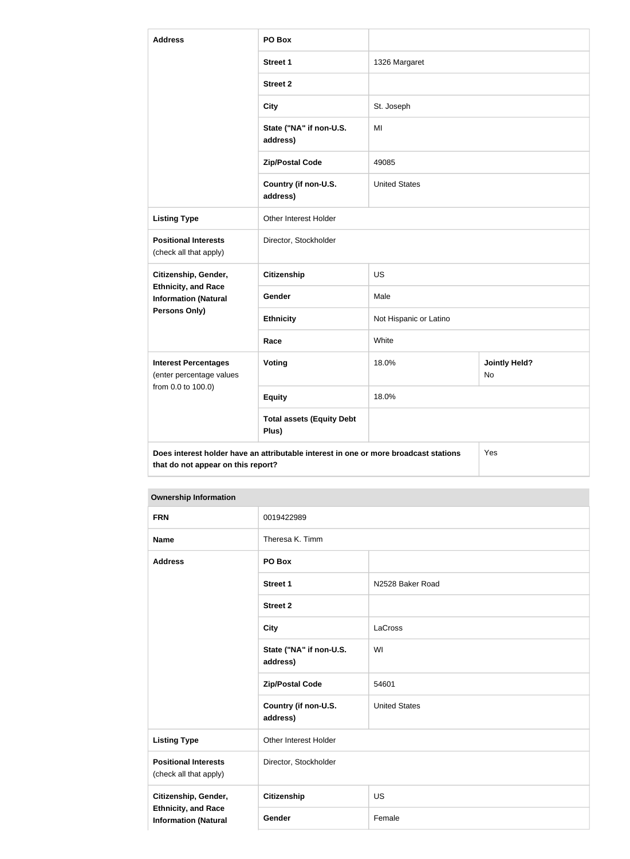| <b>Address</b>                                                                | PO Box                                                                               |                        |                            |
|-------------------------------------------------------------------------------|--------------------------------------------------------------------------------------|------------------------|----------------------------|
|                                                                               | <b>Street 1</b>                                                                      | 1326 Margaret          |                            |
|                                                                               | <b>Street 2</b>                                                                      |                        |                            |
|                                                                               | <b>City</b>                                                                          | St. Joseph             |                            |
|                                                                               | State ("NA" if non-U.S.<br>address)                                                  | MI                     |                            |
|                                                                               | <b>Zip/Postal Code</b>                                                               | 49085                  |                            |
|                                                                               | Country (if non-U.S.<br>address)                                                     | <b>United States</b>   |                            |
| <b>Listing Type</b>                                                           | Other Interest Holder                                                                |                        |                            |
| <b>Positional Interests</b><br>(check all that apply)                         | Director, Stockholder                                                                |                        |                            |
| Citizenship, Gender,                                                          | <b>Citizenship</b>                                                                   | <b>US</b>              |                            |
| <b>Ethnicity, and Race</b><br><b>Information (Natural</b>                     | Gender                                                                               | Male                   |                            |
| Persons Only)                                                                 | <b>Ethnicity</b>                                                                     | Not Hispanic or Latino |                            |
|                                                                               | Race                                                                                 | White                  |                            |
| <b>Interest Percentages</b><br>(enter percentage values<br>from 0.0 to 100.0) | <b>Voting</b>                                                                        | 18.0%                  | <b>Jointly Held?</b><br>No |
|                                                                               | <b>Equity</b>                                                                        | 18.0%                  |                            |
|                                                                               | <b>Total assets (Equity Debt</b><br>Plus)                                            |                        |                            |
| that do not appear on this report?                                            | Does interest holder have an attributable interest in one or more broadcast stations |                        | Yes                        |

| <b>FRN</b>                                                | 0019422989                          |                      |
|-----------------------------------------------------------|-------------------------------------|----------------------|
| <b>Name</b>                                               | Theresa K. Timm                     |                      |
| <b>Address</b>                                            | PO Box                              |                      |
|                                                           | <b>Street 1</b>                     | N2528 Baker Road     |
|                                                           | <b>Street 2</b>                     |                      |
|                                                           | <b>City</b>                         | LaCross              |
|                                                           | State ("NA" if non-U.S.<br>address) | WI                   |
|                                                           | <b>Zip/Postal Code</b>              | 54601                |
|                                                           | Country (if non-U.S.<br>address)    | <b>United States</b> |
| <b>Listing Type</b>                                       | Other Interest Holder               |                      |
| <b>Positional Interests</b><br>(check all that apply)     | Director, Stockholder               |                      |
| Citizenship, Gender,                                      | Citizenship                         | <b>US</b>            |
| <b>Ethnicity, and Race</b><br><b>Information (Natural</b> | Gender                              | Female               |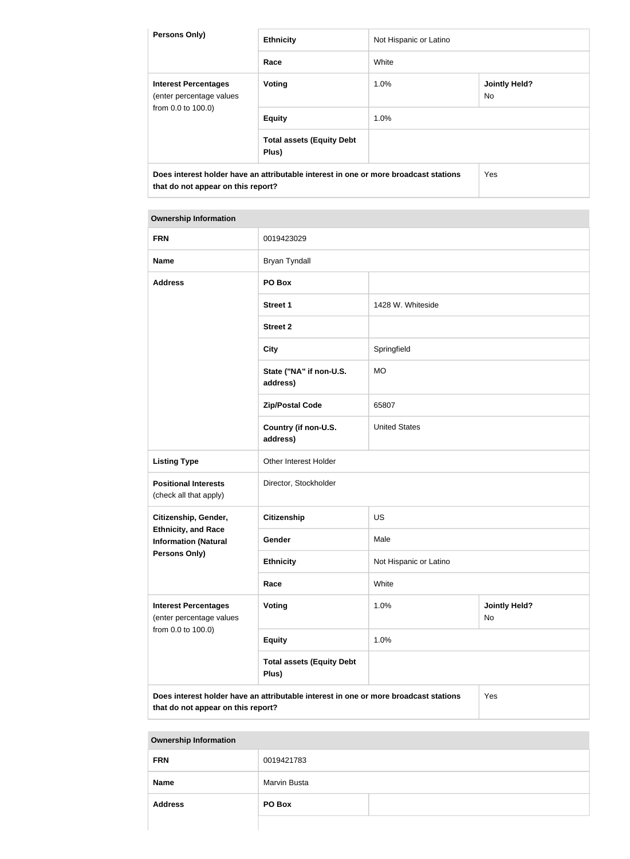| <b>Persons Only)</b>                                                                                                       | <b>Ethnicity</b>                          | Not Hispanic or Latino |                             |
|----------------------------------------------------------------------------------------------------------------------------|-------------------------------------------|------------------------|-----------------------------|
|                                                                                                                            | Race                                      | White                  |                             |
| <b>Interest Percentages</b><br>(enter percentage values<br>from 0.0 to 100.0)                                              | Voting                                    | 1.0%                   | <b>Jointly Held?</b><br>No. |
|                                                                                                                            | <b>Equity</b>                             | 1.0%                   |                             |
|                                                                                                                            | <b>Total assets (Equity Debt</b><br>Plus) |                        |                             |
| Does interest holder have an attributable interest in one or more broadcast stations<br>that do not appear on this report? |                                           | Yes                    |                             |

| <b>FRN</b>                                                                                                                        | 0019423029                                |                        |                            |
|-----------------------------------------------------------------------------------------------------------------------------------|-------------------------------------------|------------------------|----------------------------|
| <b>Name</b>                                                                                                                       | <b>Bryan Tyndall</b>                      |                        |                            |
| <b>Address</b>                                                                                                                    | PO Box                                    |                        |                            |
|                                                                                                                                   | <b>Street 1</b>                           | 1428 W. Whiteside      |                            |
|                                                                                                                                   | <b>Street 2</b>                           |                        |                            |
|                                                                                                                                   | <b>City</b>                               | Springfield            |                            |
|                                                                                                                                   | State ("NA" if non-U.S.<br>address)       | <b>MO</b>              |                            |
|                                                                                                                                   | <b>Zip/Postal Code</b>                    | 65807                  |                            |
|                                                                                                                                   | Country (if non-U.S.<br>address)          | <b>United States</b>   |                            |
| <b>Listing Type</b>                                                                                                               | Other Interest Holder                     |                        |                            |
| <b>Positional Interests</b><br>(check all that apply)                                                                             | Director, Stockholder                     |                        |                            |
| Citizenship, Gender,                                                                                                              | <b>Citizenship</b>                        | <b>US</b>              |                            |
| <b>Ethnicity, and Race</b><br><b>Information (Natural</b>                                                                         | Gender                                    | Male                   |                            |
| <b>Persons Only)</b>                                                                                                              | <b>Ethnicity</b>                          | Not Hispanic or Latino |                            |
|                                                                                                                                   | Race                                      | White                  |                            |
| <b>Interest Percentages</b><br>(enter percentage values                                                                           | Voting                                    | 1.0%                   | <b>Jointly Held?</b><br>No |
| from 0.0 to 100.0)                                                                                                                | <b>Equity</b>                             | 1.0%                   |                            |
|                                                                                                                                   | <b>Total assets (Equity Debt</b><br>Plus) |                        |                            |
| Does interest holder have an attributable interest in one or more broadcast stations<br>Yes<br>that do not appear on this report? |                                           |                        |                            |

| <b>FRN</b>     | 0019421783   |
|----------------|--------------|
| <b>Name</b>    | Marvin Busta |
| <b>Address</b> | PO Box       |
|                |              |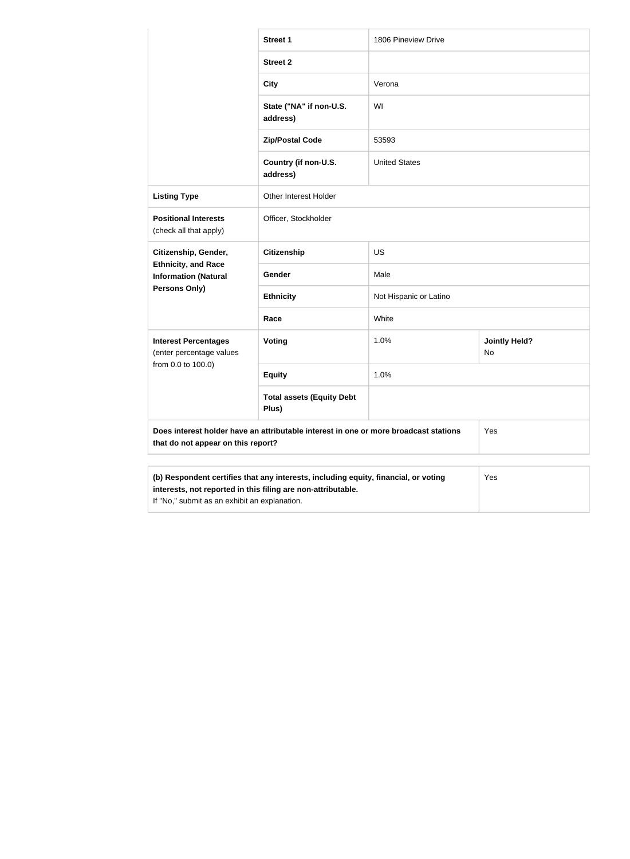|                                                                                                                                                                                                      | <b>Street 1</b>                           | 1806 Pineview Drive    |                            |
|------------------------------------------------------------------------------------------------------------------------------------------------------------------------------------------------------|-------------------------------------------|------------------------|----------------------------|
|                                                                                                                                                                                                      | <b>Street 2</b>                           |                        |                            |
|                                                                                                                                                                                                      | <b>City</b>                               | Verona                 |                            |
|                                                                                                                                                                                                      | State ("NA" if non-U.S.<br>address)       | WI                     |                            |
|                                                                                                                                                                                                      | <b>Zip/Postal Code</b>                    | 53593                  |                            |
|                                                                                                                                                                                                      | Country (if non-U.S.<br>address)          | <b>United States</b>   |                            |
| <b>Listing Type</b>                                                                                                                                                                                  | <b>Other Interest Holder</b>              |                        |                            |
| <b>Positional Interests</b><br>(check all that apply)                                                                                                                                                | Officer, Stockholder                      |                        |                            |
| Citizenship, Gender,                                                                                                                                                                                 | <b>Citizenship</b>                        | <b>US</b>              |                            |
| <b>Ethnicity, and Race</b><br><b>Information (Natural</b>                                                                                                                                            | Gender                                    | Male                   |                            |
| Persons Only)                                                                                                                                                                                        | <b>Ethnicity</b>                          | Not Hispanic or Latino |                            |
|                                                                                                                                                                                                      | Race                                      | White                  |                            |
| <b>Interest Percentages</b><br>(enter percentage values                                                                                                                                              | Voting                                    | 1.0%                   | <b>Jointly Held?</b><br>No |
| from 0.0 to 100.0)                                                                                                                                                                                   | <b>Equity</b>                             | 1.0%                   |                            |
|                                                                                                                                                                                                      | <b>Total assets (Equity Debt</b><br>Plus) |                        |                            |
| Does interest holder have an attributable interest in one or more broadcast stations<br>that do not appear on this report?                                                                           |                                           |                        | Yes                        |
| (b) Respondent certifies that any interests, including equity, financial, or voting<br>interests, not reported in this filing are non-attributable.<br>If "No," submit as an exhibit an explanation. |                                           |                        | Yes                        |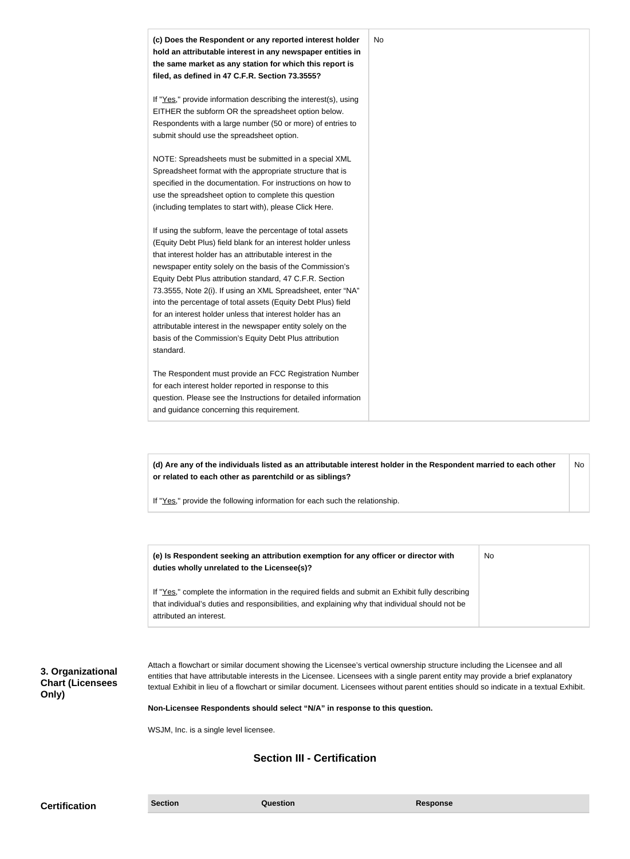| (c) Does the Respondent or any reported interest holder<br>hold an attributable interest in any newspaper entities in<br>the same market as any station for which this report is<br>filed, as defined in 47 C.F.R. Section 73.3555?                                                                                                                                                                                                                                                                                                                                                                                                              | No |
|--------------------------------------------------------------------------------------------------------------------------------------------------------------------------------------------------------------------------------------------------------------------------------------------------------------------------------------------------------------------------------------------------------------------------------------------------------------------------------------------------------------------------------------------------------------------------------------------------------------------------------------------------|----|
| If "Yes," provide information describing the interest(s), using<br>EITHER the subform OR the spreadsheet option below.<br>Respondents with a large number (50 or more) of entries to<br>submit should use the spreadsheet option.                                                                                                                                                                                                                                                                                                                                                                                                                |    |
| NOTE: Spreadsheets must be submitted in a special XML<br>Spreadsheet format with the appropriate structure that is<br>specified in the documentation. For instructions on how to<br>use the spreadsheet option to complete this question<br>(including templates to start with), please Click Here.                                                                                                                                                                                                                                                                                                                                              |    |
| If using the subform, leave the percentage of total assets<br>(Equity Debt Plus) field blank for an interest holder unless<br>that interest holder has an attributable interest in the<br>newspaper entity solely on the basis of the Commission's<br>Equity Debt Plus attribution standard, 47 C.F.R. Section<br>73.3555, Note 2(i). If using an XML Spreadsheet, enter "NA"<br>into the percentage of total assets (Equity Debt Plus) field<br>for an interest holder unless that interest holder has an<br>attributable interest in the newspaper entity solely on the<br>basis of the Commission's Equity Debt Plus attribution<br>standard. |    |
| The Respondent must provide an FCC Registration Number<br>for each interest holder reported in response to this<br>question. Please see the Instructions for detailed information<br>and guidance concerning this requirement.                                                                                                                                                                                                                                                                                                                                                                                                                   |    |

**(d) Are any of the individuals listed as an attributable interest holder in the Respondent married to each other or related to each other as parentchild or as siblings?** No

If "Yes," provide the following information for each such the relationship.

| (e) Is Respondent seeking an attribution exemption for any officer or director with<br>duties wholly unrelated to the Licensee(s)?                                                                  | No |
|-----------------------------------------------------------------------------------------------------------------------------------------------------------------------------------------------------|----|
| If "Yes," complete the information in the required fields and submit an Exhibit fully describing<br>that individual's duties and responsibilities, and explaining why that individual should not be |    |
| attributed an interest.                                                                                                                                                                             |    |

**3. Organizational Chart (Licensees Only)**

Attach a flowchart or similar document showing the Licensee's vertical ownership structure including the Licensee and all entities that have attributable interests in the Licensee. Licensees with a single parent entity may provide a brief explanatory textual Exhibit in lieu of a flowchart or similar document. Licensees without parent entities should so indicate in a textual Exhibit.

**Non-Licensee Respondents should select "N/A" in response to this question.**

WSJM, Inc. is a single level licensee.

# **Section III - Certification**